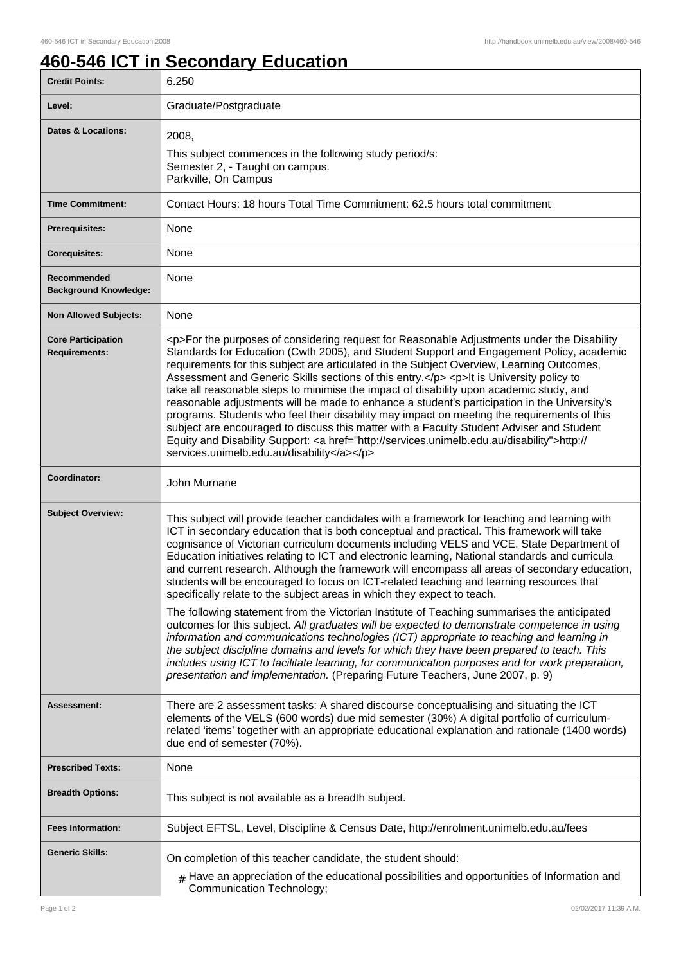## **460-546 ICT in Secondary Education**

| <b>Credit Points:</b>                             | 6.250                                                                                                                                                                                                                                                                                                                                                                                                                                                                                                                                                                                                                                                                                                                                                                                                                                                                                                                        |
|---------------------------------------------------|------------------------------------------------------------------------------------------------------------------------------------------------------------------------------------------------------------------------------------------------------------------------------------------------------------------------------------------------------------------------------------------------------------------------------------------------------------------------------------------------------------------------------------------------------------------------------------------------------------------------------------------------------------------------------------------------------------------------------------------------------------------------------------------------------------------------------------------------------------------------------------------------------------------------------|
| Level:                                            | Graduate/Postgraduate                                                                                                                                                                                                                                                                                                                                                                                                                                                                                                                                                                                                                                                                                                                                                                                                                                                                                                        |
| Dates & Locations:                                | 2008,<br>This subject commences in the following study period/s:<br>Semester 2, - Taught on campus.<br>Parkville, On Campus                                                                                                                                                                                                                                                                                                                                                                                                                                                                                                                                                                                                                                                                                                                                                                                                  |
| <b>Time Commitment:</b>                           | Contact Hours: 18 hours Total Time Commitment: 62.5 hours total commitment                                                                                                                                                                                                                                                                                                                                                                                                                                                                                                                                                                                                                                                                                                                                                                                                                                                   |
| Prerequisites:                                    | None                                                                                                                                                                                                                                                                                                                                                                                                                                                                                                                                                                                                                                                                                                                                                                                                                                                                                                                         |
| <b>Corequisites:</b>                              | None                                                                                                                                                                                                                                                                                                                                                                                                                                                                                                                                                                                                                                                                                                                                                                                                                                                                                                                         |
| Recommended<br><b>Background Knowledge:</b>       | None                                                                                                                                                                                                                                                                                                                                                                                                                                                                                                                                                                                                                                                                                                                                                                                                                                                                                                                         |
| <b>Non Allowed Subjects:</b>                      | None                                                                                                                                                                                                                                                                                                                                                                                                                                                                                                                                                                                                                                                                                                                                                                                                                                                                                                                         |
| <b>Core Participation</b><br><b>Requirements:</b> | <p>For the purposes of considering request for Reasonable Adjustments under the Disability<br/>Standards for Education (Cwth 2005), and Student Support and Engagement Policy, academic<br/>requirements for this subject are articulated in the Subject Overview, Learning Outcomes,<br/>Assessment and Generic Skills sections of this entry.</p> <p>lt is University policy to<br/>take all reasonable steps to minimise the impact of disability upon academic study, and<br/>reasonable adjustments will be made to enhance a student's participation in the University's<br/>programs. Students who feel their disability may impact on meeting the requirements of this<br/>subject are encouraged to discuss this matter with a Faculty Student Adviser and Student<br/>Equity and Disability Support: &lt; a href="http://services.unimelb.edu.au/disability"&gt;http://<br/>services.unimelb.edu.au/disability</p> |
| Coordinator:                                      | John Murnane                                                                                                                                                                                                                                                                                                                                                                                                                                                                                                                                                                                                                                                                                                                                                                                                                                                                                                                 |
| <b>Subject Overview:</b>                          | This subject will provide teacher candidates with a framework for teaching and learning with<br>ICT in secondary education that is both conceptual and practical. This framework will take<br>cognisance of Victorian curriculum documents including VELS and VCE, State Department of<br>Education initiatives relating to ICT and electronic learning, National standards and curricula<br>and current research. Although the framework will encompass all areas of secondary education,<br>students will be encouraged to focus on ICT-related teaching and learning resources that<br>specifically relate to the subject areas in which they expect to teach.                                                                                                                                                                                                                                                            |
|                                                   | The following statement from the Victorian Institute of Teaching summarises the anticipated<br>outcomes for this subject. All graduates will be expected to demonstrate competence in using<br>information and communications technologies (ICT) appropriate to teaching and learning in<br>the subject discipline domains and levels for which they have been prepared to teach. This<br>includes using ICT to facilitate learning, for communication purposes and for work preparation,<br>presentation and implementation. (Preparing Future Teachers, June 2007, p. 9)                                                                                                                                                                                                                                                                                                                                                   |
| Assessment:                                       | There are 2 assessment tasks: A shared discourse conceptualising and situating the ICT<br>elements of the VELS (600 words) due mid semester (30%) A digital portfolio of curriculum-<br>related 'items' together with an appropriate educational explanation and rationale (1400 words)<br>due end of semester (70%).                                                                                                                                                                                                                                                                                                                                                                                                                                                                                                                                                                                                        |
| <b>Prescribed Texts:</b>                          | None                                                                                                                                                                                                                                                                                                                                                                                                                                                                                                                                                                                                                                                                                                                                                                                                                                                                                                                         |
| <b>Breadth Options:</b>                           | This subject is not available as a breadth subject.                                                                                                                                                                                                                                                                                                                                                                                                                                                                                                                                                                                                                                                                                                                                                                                                                                                                          |
| <b>Fees Information:</b>                          | Subject EFTSL, Level, Discipline & Census Date, http://enrolment.unimelb.edu.au/fees                                                                                                                                                                                                                                                                                                                                                                                                                                                                                                                                                                                                                                                                                                                                                                                                                                         |
| <b>Generic Skills:</b>                            | On completion of this teacher candidate, the student should:<br>$#$ Have an appreciation of the educational possibilities and opportunities of Information and<br>Communication Technology;                                                                                                                                                                                                                                                                                                                                                                                                                                                                                                                                                                                                                                                                                                                                  |